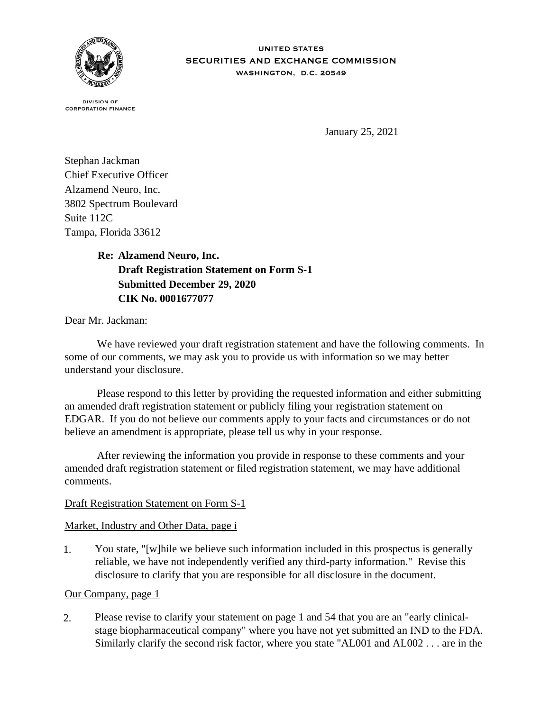

**IINITED STATES** SECURITIES AND EXCHANGE COMMISSION WASHINGTON, D.C. 20549

**DIVISION OF CORPORATION FINANCE** 

January 25, 2021

Stephan Jackman Chief Executive Officer Alzamend Neuro, Inc. 3802 Spectrum Boulevard Suite 112C Tampa, Florida 33612

> **Re: Alzamend Neuro, Inc. Draft Registration Statement on Form S-1 Submitted December 29, 2020 CIK No. 0001677077**

Dear Mr. Jackman:

 We have reviewed your draft registration statement and have the following comments. In some of our comments, we may ask you to provide us with information so we may better understand your disclosure.

 Please respond to this letter by providing the requested information and either submitting an amended draft registration statement or publicly filing your registration statement on EDGAR. If you do not believe our comments apply to your facts and circumstances or do not believe an amendment is appropriate, please tell us why in your response.

 After reviewing the information you provide in response to these comments and your amended draft registration statement or filed registration statement, we may have additional comments.

# Draft Registration Statement on Form S-1

# Market, Industry and Other Data, page i

1. You state, "[w]hile we believe such information included in this prospectus is generally reliable, we have not independently verified any third-party information." Revise this disclosure to clarify that you are responsible for all disclosure in the document.

## Our Company, page 1

2. Please revise to clarify your statement on page 1 and 54 that you are an "early clinicalstage biopharmaceutical company" where you have not yet submitted an IND to the FDA. Similarly clarify the second risk factor, where you state "AL001 and AL002 . . . are in the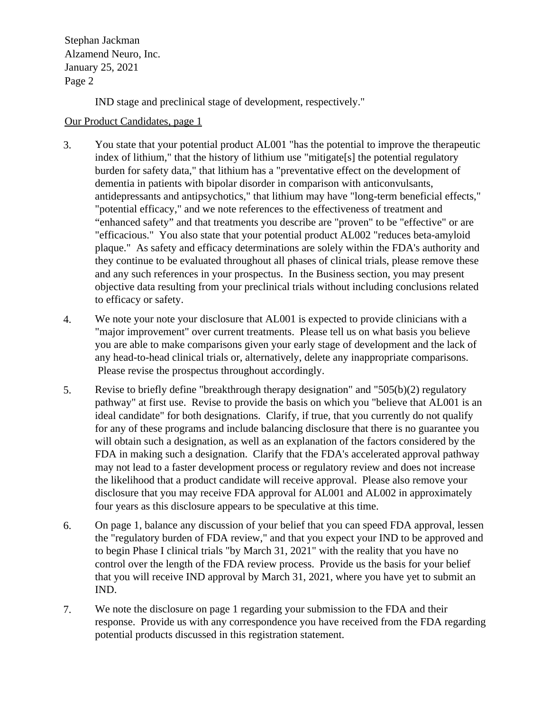Stephan Jackman<br>Alzamend Neuro, Inc. January 25, 2021 Page 2 Stephan Jackman

IND stage and preclinical stage of development, respectively."

## Our Product Candidates, page 1

- 3. You state that your potential product AL001 "has the potential to improve the therapeutic index of lithium," that the history of lithium use "mitigate[s] the potential regulatory burden for safety data," that lithium has a "preventative effect on the development of dementia in patients with bipolar disorder in comparison with anticonvulsants, antidepressants and antipsychotics," that lithium may have "long-term beneficial effects," "potential efficacy," and we note references to the effectiveness of treatment and "enhanced safety" and that treatments you describe are "proven" to be "effective" or are "efficacious." You also state that your potential product AL002 "reduces beta-amyloid plaque." As safety and efficacy determinations are solely within the FDA's authority and they continue to be evaluated throughout all phases of clinical trials, please remove these and any such references in your prospectus. In the Business section, you may present objective data resulting from your preclinical trials without including conclusions related to efficacy or safety.
- 4. We note your note your disclosure that AL001 is expected to provide clinicians with a "major improvement" over current treatments. Please tell us on what basis you believe you are able to make comparisons given your early stage of development and the lack of any head-to-head clinical trials or, alternatively, delete any inappropriate comparisons. Please revise the prospectus throughout accordingly.
- 5. Revise to briefly define "breakthrough therapy designation" and "505(b)(2) regulatory pathway" at first use. Revise to provide the basis on which you "believe that AL001 is an ideal candidate" for both designations. Clarify, if true, that you currently do not qualify for any of these programs and include balancing disclosure that there is no guarantee you will obtain such a designation, as well as an explanation of the factors considered by the FDA in making such a designation. Clarify that the FDA's accelerated approval pathway may not lead to a faster development process or regulatory review and does not increase the likelihood that a product candidate will receive approval. Please also remove your disclosure that you may receive FDA approval for AL001 and AL002 in approximately four years as this disclosure appears to be speculative at this time.
- 6. On page 1, balance any discussion of your belief that you can speed FDA approval, lessen the "regulatory burden of FDA review," and that you expect your IND to be approved and to begin Phase I clinical trials "by March 31, 2021" with the reality that you have no control over the length of the FDA review process. Provide us the basis for your belief that you will receive IND approval by March 31, 2021, where you have yet to submit an IND.
- 7. We note the disclosure on page 1 regarding your submission to the FDA and their response. Provide us with any correspondence you have received from the FDA regarding potential products discussed in this registration statement.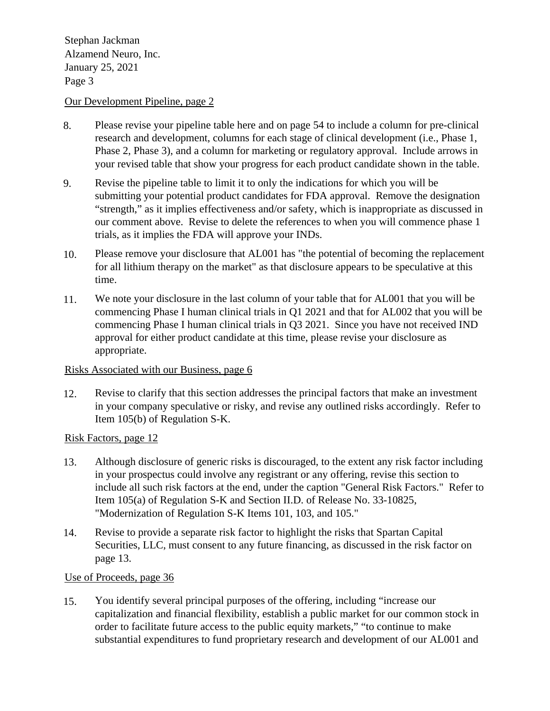Stephan Jackman<br>Alzamend Neuro, Inc. January 25, 2021 Page 3 Stephan Jackman

## Our Development Pipeline, page 2

- 8. Please revise your pipeline table here and on page 54 to include a column for pre-clinical research and development, columns for each stage of clinical development (i.e., Phase 1, Phase 2, Phase 3), and a column for marketing or regulatory approval. Include arrows in your revised table that show your progress for each product candidate shown in the table.
- 9. Revise the pipeline table to limit it to only the indications for which you will be submitting your potential product candidates for FDA approval. Remove the designation "strength," as it implies effectiveness and/or safety, which is inappropriate as discussed in our comment above. Revise to delete the references to when you will commence phase 1 trials, as it implies the FDA will approve your INDs.
- 10. Please remove your disclosure that AL001 has "the potential of becoming the replacement for all lithium therapy on the market" as that disclosure appears to be speculative at this time.
- 11. We note your disclosure in the last column of your table that for AL001 that you will be commencing Phase I human clinical trials in Q1 2021 and that for AL002 that you will be commencing Phase I human clinical trials in Q3 2021. Since you have not received IND approval for either product candidate at this time, please revise your disclosure as appropriate.

## Risks Associated with our Business, page 6

12. Revise to clarify that this section addresses the principal factors that make an investment in your company speculative or risky, and revise any outlined risks accordingly. Refer to Item 105(b) of Regulation S-K.

## Risk Factors, page 12

- 13. Although disclosure of generic risks is discouraged, to the extent any risk factor including in your prospectus could involve any registrant or any offering, revise this section to include all such risk factors at the end, under the caption "General Risk Factors." Refer to Item 105(a) of Regulation S-K and Section II.D. of Release No. 33-10825, "Modernization of Regulation S-K Items 101, 103, and 105."
- 14. Revise to provide a separate risk factor to highlight the risks that Spartan Capital Securities, LLC, must consent to any future financing, as discussed in the risk factor on page 13.

## Use of Proceeds, page 36

15. You identify several principal purposes of the offering, including "increase our capitalization and financial flexibility, establish a public market for our common stock in order to facilitate future access to the public equity markets," "to continue to make substantial expenditures to fund proprietary research and development of our AL001 and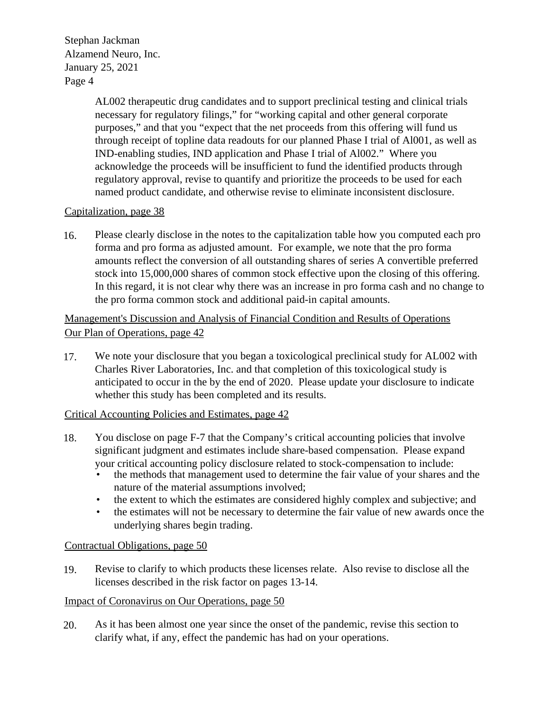Stephan Jackman<br>Alzamend Neuro, Inc. January 25, 2021 Page 4 Stephan Jackman

> AL002 therapeutic drug candidates and to support preclinical testing and clinical trials necessary for regulatory filings," for "working capital and other general corporate purposes," and that you "expect that the net proceeds from this offering will fund us through receipt of topline data readouts for our planned Phase I trial of Al001, as well as IND-enabling studies, IND application and Phase I trial of Al002." Where you acknowledge the proceeds will be insufficient to fund the identified products through regulatory approval, revise to quantify and prioritize the proceeds to be used for each named product candidate, and otherwise revise to eliminate inconsistent disclosure.

# Capitalization, page 38

16. Please clearly disclose in the notes to the capitalization table how you computed each pro forma and pro forma as adjusted amount. For example, we note that the pro forma amounts reflect the conversion of all outstanding shares of series A convertible preferred stock into 15,000,000 shares of common stock effective upon the closing of this offering. In this regard, it is not clear why there was an increase in pro forma cash and no change to the pro forma common stock and additional paid-in capital amounts.

# Management's Discussion and Analysis of Financial Condition and Results of Operations Our Plan of Operations, page 42

17. We note your disclosure that you began a toxicological preclinical study for AL002 with Charles River Laboratories, Inc. and that completion of this toxicological study is anticipated to occur in the by the end of 2020. Please update your disclosure to indicate whether this study has been completed and its results.

# Critical Accounting Policies and Estimates, page 42

- 18. You disclose on page F-7 that the Company's critical accounting policies that involve significant judgment and estimates include share-based compensation. Please expand your critical accounting policy disclosure related to stock-compensation to include:
	- the methods that management used to determine the fair value of your shares and the nature of the material assumptions involved;
	- the extent to which the estimates are considered highly complex and subjective; and
	- the estimates will not be necessary to determine the fair value of new awards once the underlying shares begin trading.

# Contractual Obligations, page 50

19. Revise to clarify to which products these licenses relate. Also revise to disclose all the licenses described in the risk factor on pages 13-14.

# Impact of Coronavirus on Our Operations, page 50

20. As it has been almost one year since the onset of the pandemic, revise this section to clarify what, if any, effect the pandemic has had on your operations.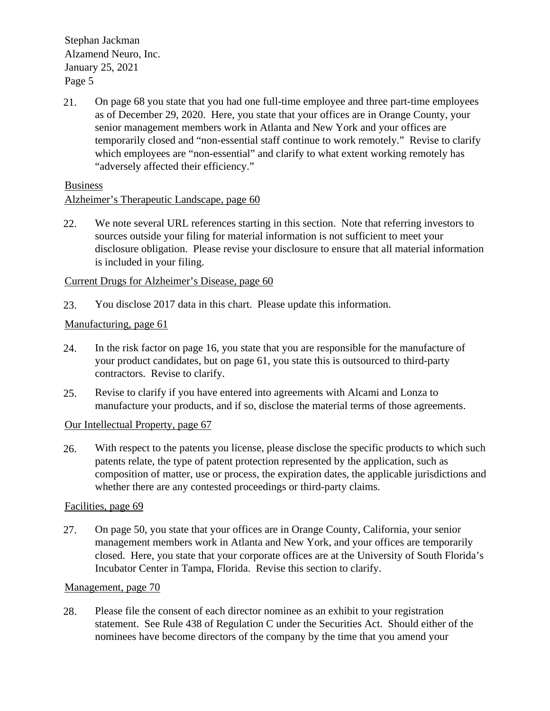Stephan Jackman<br>Alzamend Neuro, Inc. January 25, 2021 Page 5 Stephan Jackman

21. On page 68 you state that you had one full-time employee and three part-time employees as of December 29, 2020. Here, you state that your offices are in Orange County, your senior management members work in Atlanta and New York and your offices are temporarily closed and "non-essential staff continue to work remotely." Revise to clarify which employees are "non-essential" and clarify to what extent working remotely has "adversely affected their efficiency."

Business

# Alzheimer's Therapeutic Landscape, page 60

22. We note several URL references starting in this section. Note that referring investors to sources outside your filing for material information is not sufficient to meet your disclosure obligation. Please revise your disclosure to ensure that all material information is included in your filing.

# Current Drugs for Alzheimer's Disease, page 60

23. You disclose 2017 data in this chart. Please update this information.

# Manufacturing, page 61

- 24. In the risk factor on page 16, you state that you are responsible for the manufacture of your product candidates, but on page 61, you state this is outsourced to third-party contractors. Revise to clarify.
- 25. Revise to clarify if you have entered into agreements with Alcami and Lonza to manufacture your products, and if so, disclose the material terms of those agreements.

# Our Intellectual Property, page 67

26. With respect to the patents you license, please disclose the specific products to which such patents relate, the type of patent protection represented by the application, such as composition of matter, use or process, the expiration dates, the applicable jurisdictions and whether there are any contested proceedings or third-party claims.

# Facilities, page 69

27. On page 50, you state that your offices are in Orange County, California, your senior management members work in Atlanta and New York, and your offices are temporarily closed. Here, you state that your corporate offices are at the University of South Florida's Incubator Center in Tampa, Florida. Revise this section to clarify.

# Management, page 70

28. Please file the consent of each director nominee as an exhibit to your registration statement. See Rule 438 of Regulation C under the Securities Act. Should either of the nominees have become directors of the company by the time that you amend your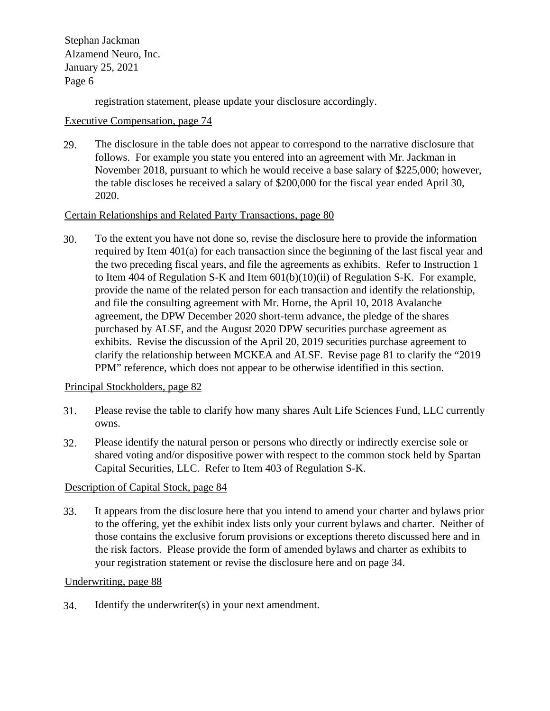Stephan Jackman Alzamend Neuro, Inc. January 25, 2021 Page 6

registration statement, please update your disclosure accordingly.

## Executive Compensation, page 74

29. The disclosure in the table does not appear to correspond to the narrative disclosure that follows. For example you state you entered into an agreement with Mr. Jackman in November 2018, pursuant to which he would receive a base salary of \$225,000; however, the table discloses he received a salary of \$200,000 for the fiscal year ended April 30, 2020.

# Certain Relationships and Related Party Transactions, page 80

30. To the extent you have not done so, revise the disclosure here to provide the information required by Item 401(a) for each transaction since the beginning of the last fiscal year and the two preceding fiscal years, and file the agreements as exhibits. Refer to Instruction 1 to Item 404 of Regulation S-K and Item 601(b)(10)(ii) of Regulation S-K. For example, provide the name of the related person for each transaction and identify the relationship, and file the consulting agreement with Mr. Horne, the April 10, 2018 Avalanche agreement, the DPW December 2020 short-term advance, the pledge of the shares purchased by ALSF, and the August 2020 DPW securities purchase agreement as exhibits. Revise the discussion of the April 20, 2019 securities purchase agreement to clarify the relationship between MCKEA and ALSF. Revise page 81 to clarify the "2019 PPM" reference, which does not appear to be otherwise identified in this section.

# Principal Stockholders, page 82

- 31. Please revise the table to clarify how many shares Ault Life Sciences Fund, LLC currently owns.
- 32. Please identify the natural person or persons who directly or indirectly exercise sole or shared voting and/or dispositive power with respect to the common stock held by Spartan Capital Securities, LLC. Refer to Item 403 of Regulation S-K.

# Description of Capital Stock, page 84

33. It appears from the disclosure here that you intend to amend your charter and bylaws prior to the offering, yet the exhibit index lists only your current bylaws and charter. Neither of those contains the exclusive forum provisions or exceptions thereto discussed here and in the risk factors. Please provide the form of amended bylaws and charter as exhibits to your registration statement or revise the disclosure here and on page 34.

#### $\mathbf{F}$   $\mathbf{F}$   $\mathbf{F}$   $\mathbf{F}$   $\mathbf{F}$   $\mathbf{F}$   $\mathbf{F}$   $\mathbf{F}$   $\mathbf{F}$   $\mathbf{F}$   $\mathbf{F}$   $\mathbf{F}$   $\mathbf{F}$   $\mathbf{F}$   $\mathbf{F}$   $\mathbf{F}$   $\mathbf{F}$   $\mathbf{F}$   $\mathbf{F}$   $\mathbf{F}$   $\mathbf{F}$   $\mathbf{F}$   $\mathbf{F}$   $\mathbf{F}$   $\mathbf{$  Comapany NameAlzamend Neuro, Inc. Underwriting, page 88

34. Identify the underwriter(s) in your next amendment.